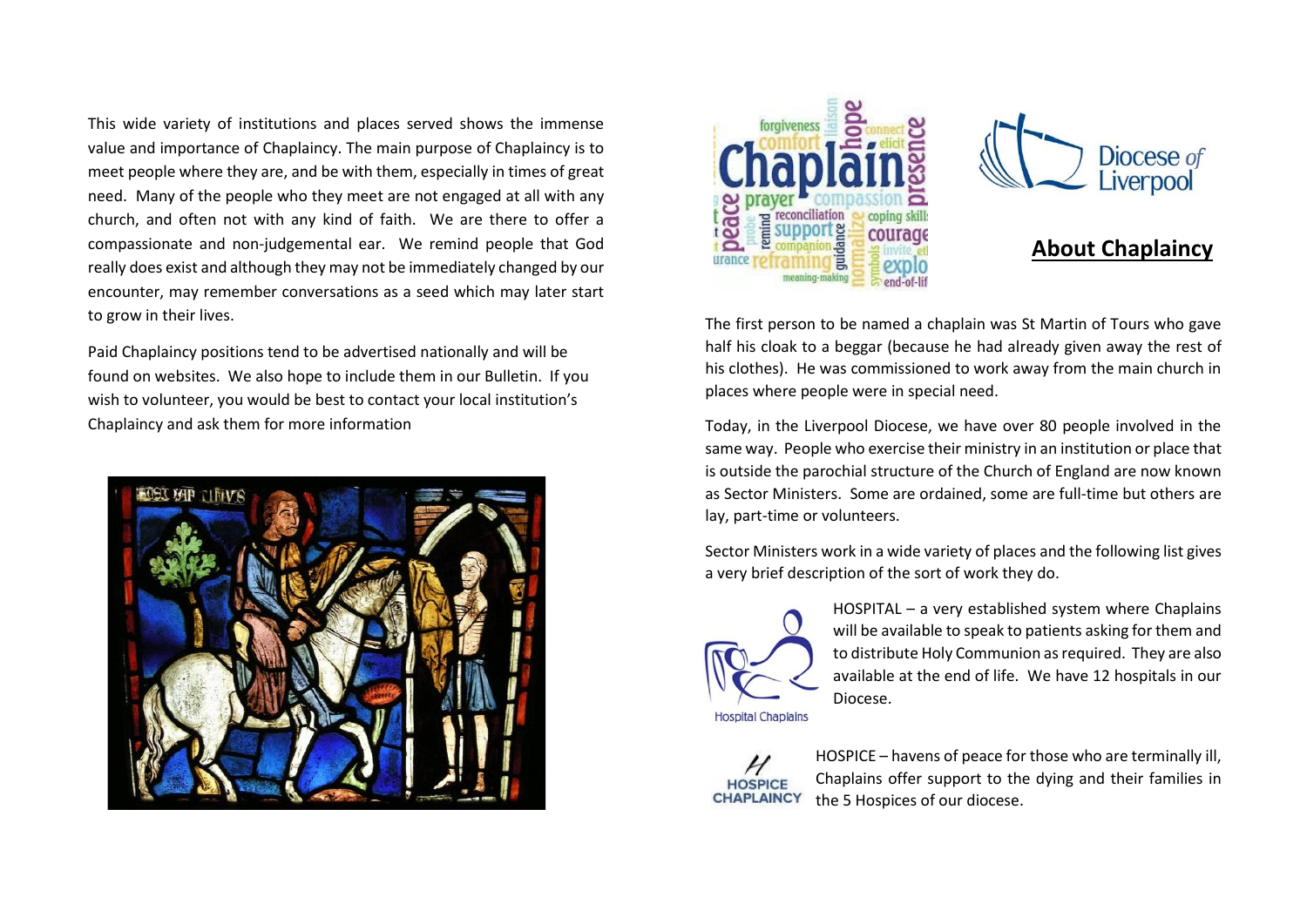This wide variety of institutions and places served shows the immense value and importance of Chaplaincy. The main purpose of Chaplaincy is to meet people where they are, and be with them, especially in times of great need. Many of the people who they meet are not engaged at all with any church, and often not with any kind of faith. We are there to offer a compassionate and non-judgemental ear. We remind people that God really does exist and although they may not be immediately changed by our encounter, may remember conversations as a seed which may later start to grow in their lives.

Paid Chaplaincy positions tend to be advertised nationally and will be found on websites. We also hope to include them in our Bulletin. If you wish to volunteer, you would be best to contact your local institution's Chaplaincy and ask them for more information







## **About Chaplaincy**

The first person to be named a chaplain was St Martin of Tours who gave half his cloak to a beggar (because he had already given away the rest of his clothes). He was commissioned to work away from the main church in places where people were in special need.

Today, in the Liverpool Diocese, we have over 80 people involved in the same way. People who exercise their ministry in an institution or place that is outside the parochial structure of the Church of England are now known as Sector Ministers. Some are ordained, some are full-time but others are lay, part-time or volunteers.

Sector Ministers work in a wide variety of places and the following list gives a very brief description of the sort of work they do.



HOSPITAL – a very established system where Chaplains will be available to speak to patients asking for them and to distribute Holy Communion as required. They are also available at the end of life. We have 12 hospitals in our Diocese.

**HOSPICE CHAPLAINCY**  HOSPICE – havens of peace for those who are terminally ill, Chaplains offer support to the dying and their families in the 5 Hospices of our diocese.